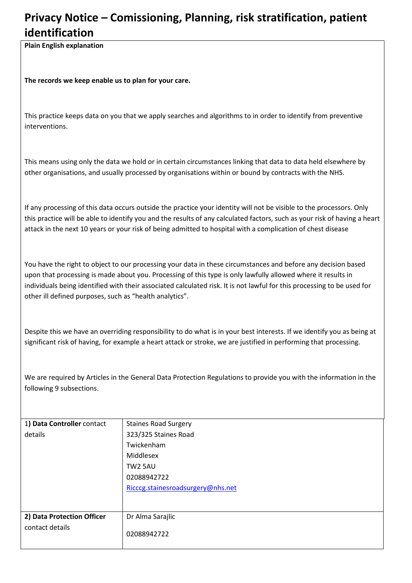## **Privacy Notice – Comissioning, Planning, risk stratification, patient identification**

**Plain English explanation**

**The records we keep enable us to plan for your care.** 

This practice keeps data on you that we apply searches and algorithms to in order to identify from preventive interventions.

This means using only the data we hold or in certain circumstances linking that data to data held elsewhere by other organisations, and usually processed by organisations within or bound by contracts with the NHS.

If any processing of this data occurs outside the practice your identity will not be visible to the processors. Only this practice will be able to identify you and the results of any calculated factors, such as your risk of having a heart attack in the next 10 years or your risk of being admitted to hospital with a complication of chest disease

You have the right to object to our processing your data in these circumstances and before any decision based upon that processing is made about you. Processing of this type is only lawfully allowed where it results in individuals being identified with their associated calculated risk. It is not lawful for this processing to be used for other ill defined purposes, such as "health analytics".

Despite this we have an overriding responsibility to do what is in your best interests. If we identify you as being at significant risk of having, for example a heart attack or stroke, we are justified in performing that processing.

We are required by Articles in the General Data Protection Regulations to provide you with the information in the following 9 subsections.

| 1) Data Controller contact | <b>Staines Road Surgery</b>       |
|----------------------------|-----------------------------------|
| details                    | 323/325 Staines Road              |
|                            | Twickenham                        |
|                            | Middlesex                         |
|                            | TW2 5AU                           |
|                            | 02088942722                       |
|                            | Ricccg.stainesroadsurgery@nhs.net |
|                            |                                   |
|                            |                                   |
| 2) Data Protection Officer | Dr Alma Sarajlic                  |
| contact details            | 02088942722                       |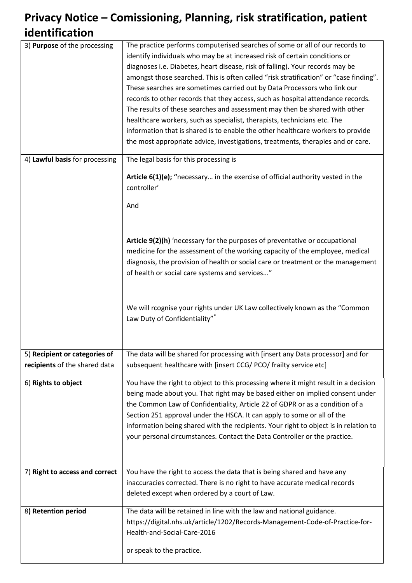## **Privacy Notice – Comissioning, Planning, risk stratification, patient identification**

| 3) Purpose of the processing   | The practice performs computerised searches of some or all of our records to<br>identify individuals who may be at increased risk of certain conditions or<br>diagnoses i.e. Diabetes, heart disease, risk of falling). Your records may be<br>amongst those searched. This is often called "risk stratification" or "case finding".<br>These searches are sometimes carried out by Data Processors who link our<br>records to other records that they access, such as hospital attendance records.<br>The results of these searches and assessment may then be shared with other<br>healthcare workers, such as specialist, therapists, technicians etc. The<br>information that is shared is to enable the other healthcare workers to provide<br>the most appropriate advice, investigations, treatments, therapies and or care. |
|--------------------------------|-------------------------------------------------------------------------------------------------------------------------------------------------------------------------------------------------------------------------------------------------------------------------------------------------------------------------------------------------------------------------------------------------------------------------------------------------------------------------------------------------------------------------------------------------------------------------------------------------------------------------------------------------------------------------------------------------------------------------------------------------------------------------------------------------------------------------------------|
| 4) Lawful basis for processing | The legal basis for this processing is                                                                                                                                                                                                                                                                                                                                                                                                                                                                                                                                                                                                                                                                                                                                                                                              |
|                                | Article 6(1)(e); "necessary in the exercise of official authority vested in the<br>controller'<br>And                                                                                                                                                                                                                                                                                                                                                                                                                                                                                                                                                                                                                                                                                                                               |
|                                | Article 9(2)(h) 'necessary for the purposes of preventative or occupational<br>medicine for the assessment of the working capacity of the employee, medical<br>diagnosis, the provision of health or social care or treatment or the management<br>of health or social care systems and services"                                                                                                                                                                                                                                                                                                                                                                                                                                                                                                                                   |
|                                | We will rcognise your rights under UK Law collectively known as the "Common<br>Law Duty of Confidentiality"*                                                                                                                                                                                                                                                                                                                                                                                                                                                                                                                                                                                                                                                                                                                        |
| 5) Recipient or categories of  | The data will be shared for processing with [insert any Data processor] and for                                                                                                                                                                                                                                                                                                                                                                                                                                                                                                                                                                                                                                                                                                                                                     |
| recipients of the shared data  | subsequent healthcare with [insert CCG/ PCO/ frailty service etc]                                                                                                                                                                                                                                                                                                                                                                                                                                                                                                                                                                                                                                                                                                                                                                   |
| 6) Rights to object            | You have the right to object to this processing where it might result in a decision<br>being made about you. That right may be based either on implied consent under<br>the Common Law of Confidentiality, Article 22 of GDPR or as a condition of a<br>Section 251 approval under the HSCA. It can apply to some or all of the<br>information being shared with the recipients. Your right to object is in relation to<br>your personal circumstances. Contact the Data Controller or the practice.                                                                                                                                                                                                                                                                                                                                |
| 7) Right to access and correct | You have the right to access the data that is being shared and have any                                                                                                                                                                                                                                                                                                                                                                                                                                                                                                                                                                                                                                                                                                                                                             |
|                                | inaccuracies corrected. There is no right to have accurate medical records<br>deleted except when ordered by a court of Law.                                                                                                                                                                                                                                                                                                                                                                                                                                                                                                                                                                                                                                                                                                        |
| 8) Retention period            | The data will be retained in line with the law and national guidance.<br>https://digital.nhs.uk/article/1202/Records-Management-Code-of-Practice-for-<br>Health-and-Social-Care-2016<br>or speak to the practice.                                                                                                                                                                                                                                                                                                                                                                                                                                                                                                                                                                                                                   |
|                                |                                                                                                                                                                                                                                                                                                                                                                                                                                                                                                                                                                                                                                                                                                                                                                                                                                     |